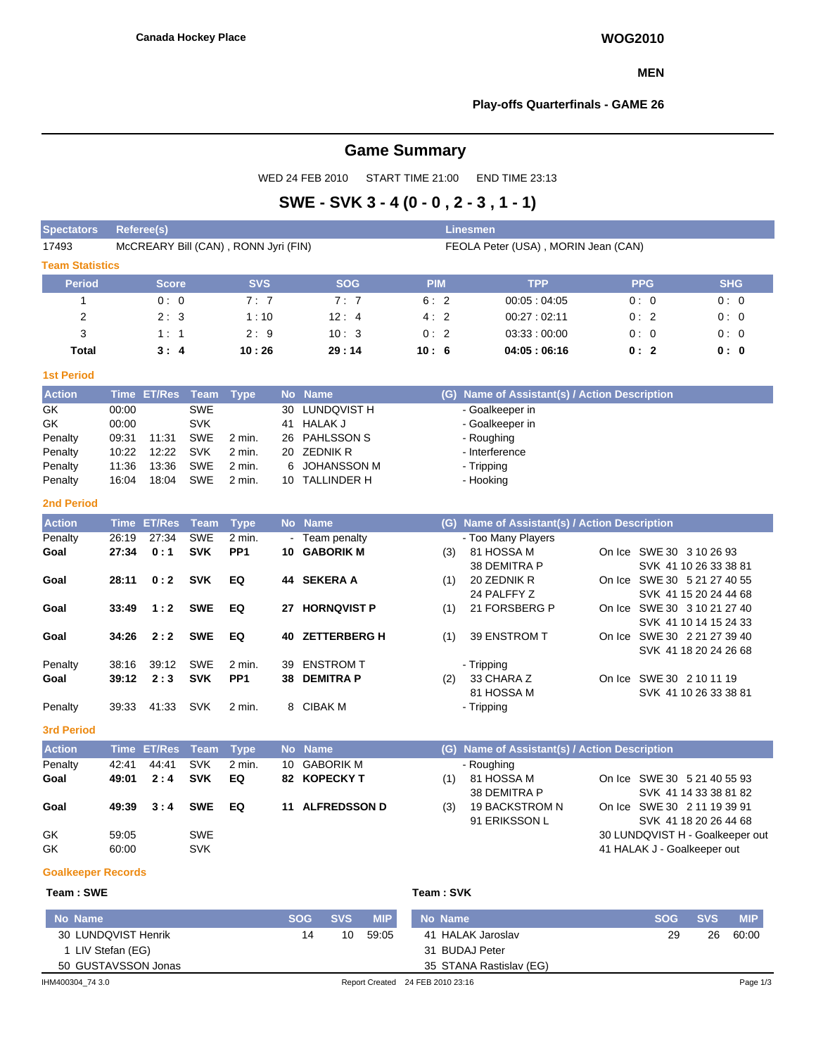## **MEN**

## **Play-offs Quarterfinals - GAME 26**

# **Game Summary**

WED 24 FEB 2010 START TIME 21:00 END TIME 23:13

# **SWE - SVK 3 - 4 (0 - 0 , 2 - 3 , 1 - 1)**

| <b>Spectators</b>         |                                                                             | <b>Referee(s)</b> |             |                 |                 |                     |            |     | <b>Linesmen</b>                               |  |            |                                 |            |
|---------------------------|-----------------------------------------------------------------------------|-------------------|-------------|-----------------|-----------------|---------------------|------------|-----|-----------------------------------------------|--|------------|---------------------------------|------------|
| 17493                     | McCREARY Bill (CAN), RONN Jyri (FIN)<br>FEOLA Peter (USA), MORIN Jean (CAN) |                   |             |                 |                 |                     |            |     |                                               |  |            |                                 |            |
| <b>Team Statistics</b>    |                                                                             |                   |             |                 |                 |                     |            |     |                                               |  |            |                                 |            |
| <b>Period</b>             |                                                                             | <b>Score</b>      |             | <b>SVS</b>      |                 | <b>SOG</b>          | <b>PIM</b> |     | <b>TPP</b>                                    |  | <b>PPG</b> |                                 | <b>SHG</b> |
| $\mathbf{1}$              |                                                                             | 0:0               |             | 7:7             |                 | 7:7                 | 6:2        |     | 00:05:04:05                                   |  | 0:0        |                                 | 0:0        |
| $\overline{2}$            |                                                                             | 2:3               |             | 1:10            |                 | 12:4                | 4:2        |     | 00:27:02:11                                   |  | 0:2        |                                 | 0:0        |
| 3                         |                                                                             | 1:1               |             | 2:9             |                 | 10:3                | 0:2        |     | 03:33:00:00                                   |  | 0:0        |                                 | 0:0        |
| <b>Total</b>              |                                                                             | 3:4               |             | 10:26           |                 | 29:14               | 10:6       |     | 04:05:06:16                                   |  | 0: 0       |                                 |            |
| <b>1st Period</b>         |                                                                             |                   |             |                 |                 |                     |            |     |                                               |  |            |                                 |            |
| <b>Action</b>             |                                                                             | Time ET/Res Team  |             | <b>Type</b>     |                 | No Name             |            |     | (G) Name of Assistant(s) / Action Description |  |            |                                 |            |
| GK                        | 00:00                                                                       |                   | <b>SWE</b>  |                 | 30              | LUNDQVIST H         |            |     | - Goalkeeper in                               |  |            |                                 |            |
| GK                        | 00:00                                                                       |                   | <b>SVK</b>  |                 | 41              | <b>HALAK J</b>      |            |     | - Goalkeeper in                               |  |            |                                 |            |
| Penalty                   | 09:31                                                                       | 11:31             | <b>SWE</b>  | 2 min.          | 26              | <b>PAHLSSON S</b>   |            |     | - Roughing                                    |  |            |                                 |            |
| Penalty                   | 10:22                                                                       | 12:22             | <b>SVK</b>  | 2 min.          | 20              | <b>ZEDNIK R</b>     |            |     | - Interference                                |  |            |                                 |            |
| Penalty                   | 11:36                                                                       | 13:36             | <b>SWE</b>  | $2$ min.        | 6               | <b>JOHANSSON M</b>  |            |     | - Tripping                                    |  |            |                                 |            |
| Penalty                   | 16:04                                                                       | 18:04             | <b>SWE</b>  | $2$ min.        |                 | 10 TALLINDER H      |            |     | - Hooking                                     |  |            |                                 |            |
| <b>2nd Period</b>         |                                                                             |                   |             |                 |                 |                     |            |     |                                               |  |            |                                 |            |
| <b>Action</b>             |                                                                             | Time ET/Res       | <b>Team</b> | <b>Type</b>     |                 | No Name             |            |     | (G) Name of Assistant(s) / Action Description |  |            |                                 |            |
| Penalty                   | 26:19                                                                       | 27:34             | <b>SWE</b>  | 2 min.          | $\sim$          | Team penalty        |            |     | - Too Many Players                            |  |            |                                 |            |
| Goal                      | 27:34                                                                       | 0:1               | <b>SVK</b>  | PP <sub>1</sub> | 10              | <b>GABORIK M</b>    |            | (3) | 81 HOSSA M                                    |  |            | On Ice SWE 30 3 10 26 93        |            |
|                           |                                                                             |                   |             |                 |                 |                     |            |     | 38 DEMITRA P                                  |  |            | SVK 41 10 26 33 38 81           |            |
| Goal                      | 28:11                                                                       | 0:2               | <b>SVK</b>  | EQ              |                 | 44 SEKERA A         |            | (1) | 20 ZEDNIK R                                   |  |            | On Ice SWE 30 5 21 27 40 55     |            |
|                           |                                                                             |                   |             |                 |                 |                     |            |     | 24 PALFFY Z                                   |  |            | SVK 41 15 20 24 44 68           |            |
| Goal                      | 33:49                                                                       | 1:2               | <b>SWE</b>  | EQ              | 27              | <b>HORNQVIST P</b>  |            | (1) | 21 FORSBERG P                                 |  |            | On Ice SWE 30 3 10 21 27 40     |            |
|                           |                                                                             |                   |             |                 |                 |                     |            |     |                                               |  |            | SVK 41 10 14 15 24 33           |            |
| Goal                      | 34:26                                                                       | 2:2               | <b>SWE</b>  | EQ              |                 | 40 ZETTERBERG H     |            | (1) | 39 ENSTROM T                                  |  |            | On Ice SWE 30 2 21 27 39 40     |            |
|                           |                                                                             |                   |             |                 |                 |                     |            |     |                                               |  |            | SVK 41 18 20 24 26 68           |            |
| Penalty                   | 38:16                                                                       | 39:12             | <b>SWE</b>  | 2 min.          | 39              | <b>ENSTROM T</b>    |            |     | - Tripping                                    |  |            |                                 |            |
| Goal                      | 39:12                                                                       | 2:3               | <b>SVK</b>  | PP <sub>1</sub> | 38              | <b>DEMITRA P</b>    |            | (2) | 33 CHARA Z                                    |  |            | On Ice SWE 30 2 10 11 19        |            |
|                           |                                                                             |                   |             |                 |                 |                     |            |     | 81 HOSSA M                                    |  |            | SVK 41 10 26 33 38 81           |            |
| Penalty                   | 39:33                                                                       | 41:33             | <b>SVK</b>  | 2 min.          | 8               | <b>CIBAK M</b>      |            |     | - Tripping                                    |  |            |                                 |            |
| <b>3rd Period</b>         |                                                                             |                   |             |                 |                 |                     |            |     |                                               |  |            |                                 |            |
| <b>Action</b>             |                                                                             | Time ET/Res       | <b>Team</b> | <b>Type</b>     |                 | No Name             |            |     | (G) Name of Assistant(s) / Action Description |  |            |                                 |            |
| Penalty                   | 42:41                                                                       | 44:41             | <b>SVK</b>  | 2 min.          | 10 <sup>1</sup> | <b>GABORIK M</b>    |            |     | - Roughing                                    |  |            |                                 |            |
| Goal                      | 49:01                                                                       | 2:4               | <b>SVK</b>  | EQ              |                 | 82 KOPECKY T        |            | (1) | 81 HOSSA M                                    |  |            | On Ice SWE 30 5 21 40 55 93     |            |
|                           |                                                                             |                   |             |                 |                 |                     |            |     | 38 DEMITRA P                                  |  |            | SVK 41 14 33 38 81 82           |            |
| Goal                      | 49:39                                                                       | 3:4               | <b>SWE</b>  | EQ              | 11              | <b>ALFREDSSON D</b> |            | (3) | 19 BACKSTROM N                                |  |            | On Ice SWE 30 2 11 19 39 91     |            |
|                           |                                                                             |                   |             |                 |                 |                     |            |     | 91 ERIKSSON L                                 |  |            | SVK 41 18 20 26 44 68           |            |
| GK                        | 59:05                                                                       |                   | <b>SWE</b>  |                 |                 |                     |            |     |                                               |  |            | 30 LUNDQVIST H - Goalkeeper out |            |
| GK                        | 60:00                                                                       |                   | <b>SVK</b>  |                 |                 |                     |            |     |                                               |  |            | 41 HALAK J - Goalkeeper out     |            |
|                           |                                                                             |                   |             |                 |                 |                     |            |     |                                               |  |            |                                 |            |
| <b>Goalkeeper Records</b> |                                                                             |                   |             |                 |                 |                     |            |     |                                               |  |            |                                 |            |

## $Team : SWE$

| Team : SVK |  |  |
|------------|--|--|
|            |  |  |

| No Name             | <b>SOG</b> | <b>SVS</b> | <b>MIP</b> | No Name                          | <b>SOG</b> | <b>SVS</b> | <b>MIP</b> |
|---------------------|------------|------------|------------|----------------------------------|------------|------------|------------|
| 30 LUNDQVIST Henrik | 14         | 10         | 59:05      | 41 HALAK Jaroslav                | 29         | 26         | 60:00      |
| 1 LIV Stefan (EG)   |            |            |            | 31 BUDAJ Peter                   |            |            |            |
| 50 GUSTAVSSON Jonas |            |            |            | 35 STANA Rastislav (EG)          |            |            |            |
| IHM400304 74 3.0    |            |            |            | Report Created 24 FEB 2010 23:16 |            |            | Page 1/3   |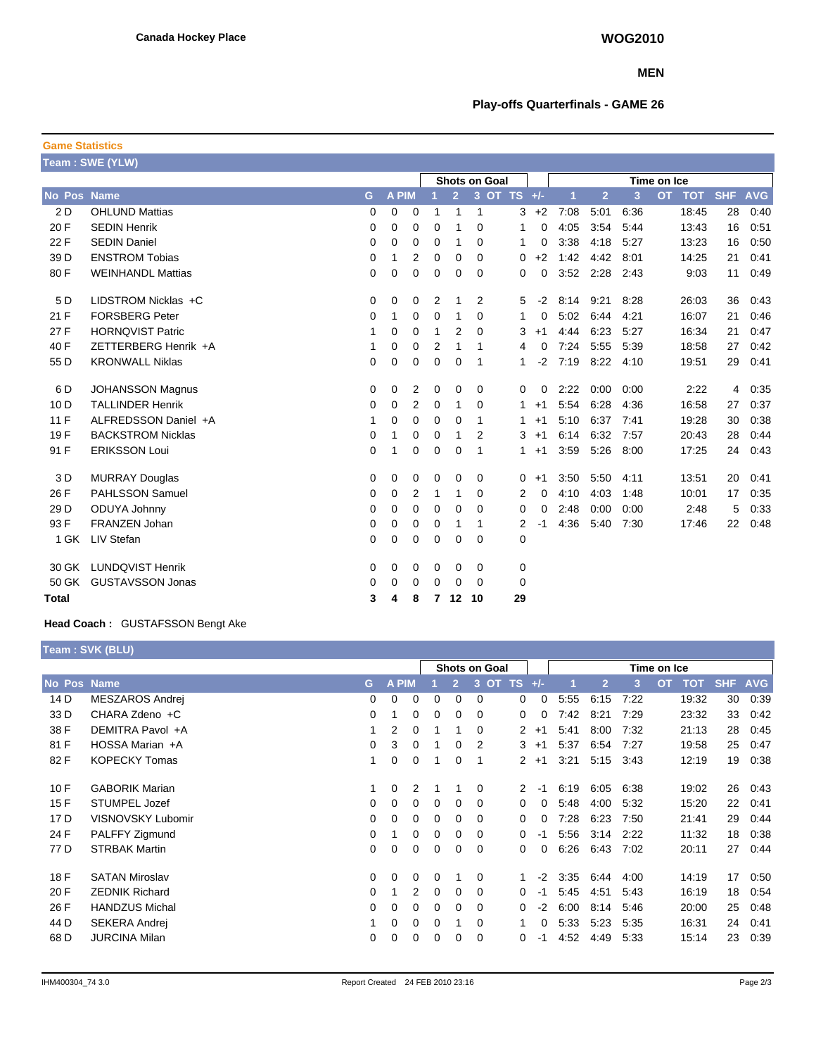## **MEN**

## **Play-offs Quarterfinals - GAME 26**

| <b>Game Statistics</b> |                          |          |       |                |                                     |                |          |             |    |          |                |                |      |           |            |            |            |
|------------------------|--------------------------|----------|-------|----------------|-------------------------------------|----------------|----------|-------------|----|----------|----------------|----------------|------|-----------|------------|------------|------------|
|                        | Team: SWE (YLW)          |          |       |                |                                     |                |          |             |    |          |                |                |      |           |            |            |            |
|                        |                          |          |       |                | <b>Shots on Goal</b><br>Time on Ice |                |          |             |    |          |                |                |      |           |            |            |            |
| No Pos Name            |                          | G        | A PIM |                |                                     | $\overline{2}$ |          | 3 OT TS +/- |    |          | $\overline{1}$ | $\overline{2}$ | 3    | <b>OT</b> | <b>TOT</b> | <b>SHF</b> | <b>AVG</b> |
| 2 D                    | <b>OHLUND Mattias</b>    | 0        | 0     | 0              |                                     | 1              | 1        |             | 3  | $+2$     | 7:08           | 5:01           | 6:36 |           | 18:45      | 28         | 0:40       |
| 20 F                   | <b>SEDIN Henrik</b>      | 0        | 0     | 0              | 0                                   | 1              | 0        |             | 1  | 0        | 4:05           | 3:54           | 5:44 |           | 13:43      | 16         | 0:51       |
| 22 F                   | <b>SEDIN Daniel</b>      | 0        | 0     | 0              | $\mathbf 0$                         | 1              | 0        |             | 1  | 0        | 3:38           | 4:18           | 5:27 |           | 13:23      | 16         | 0:50       |
| 39 D                   | <b>ENSTROM Tobias</b>    | 0        | 1     | $\overline{2}$ | 0                                   | 0              | 0        |             | 0  | $+2$     | 1:42           | 4:42           | 8:01 |           | 14:25      | 21         | 0:41       |
| 80F                    | <b>WEINHANDL Mattias</b> | $\Omega$ | 0     | $\mathbf 0$    | $\Omega$                            | $\mathbf 0$    | $\Omega$ |             | 0  | $\Omega$ | 3:52           | 2:28           | 2:43 |           | 9:03       | 11         | 0:49       |
| 5 D                    | LIDSTROM Nicklas +C      | 0        | 0     | 0              | 2                                   | 1              | 2        |             | 5  | $-2$     | 8:14           | 9:21           | 8:28 |           | 26:03      | 36         | 0:43       |
| 21 F                   | <b>FORSBERG Peter</b>    | 0        | 1     | 0              | 0                                   | 1              | 0        |             | 1  | 0        | 5:02           | 6:44           | 4:21 |           | 16:07      | 21         | 0:46       |
| 27 F                   | <b>HORNQVIST Patric</b>  | 1        | 0     | 0              | 1                                   | 2              | 0        |             | 3  | $+1$     | 4:44           | 6:23           | 5:27 |           | 16:34      | 21         | 0:47       |
| 40 F                   | ZETTERBERG Henrik +A     | 1        | 0     | 0              | 2                                   | 1              | 1        |             | 4  | $\Omega$ | 7:24           | 5:55           | 5:39 |           | 18:58      | 27         | 0:42       |
| 55 D                   | <b>KRONWALL Niklas</b>   | 0        | 0     | $\mathbf 0$    | $\mathbf 0$                         | $\mathbf 0$    | 1        |             | 1  | $-2$     | 7:19           | 8:22           | 4:10 |           | 19:51      | 29         | 0:41       |
| 6 D                    | <b>JOHANSSON Magnus</b>  | 0        | 0     | 2              | 0                                   | 0              | 0        |             | 0  | 0        | 2:22           | 0:00           | 0:00 |           | 2:22       | 4          | 0:35       |
| 10 <sub>D</sub>        | <b>TALLINDER Henrik</b>  | 0        | 0     | 2              | 0                                   | 1              | 0        |             | 1  | $+1$     | 5:54           | 6:28           | 4:36 |           | 16:58      | 27         | 0:37       |
| 11 F                   | ALFREDSSON Daniel +A     | 1        | 0     | $\mathbf 0$    | 0                                   | 0              | 1        |             | 1  | $+1$     | 5:10           | 6:37           | 7:41 |           | 19:28      | 30         | 0:38       |
| 19 F                   | <b>BACKSTROM Nicklas</b> | $\Omega$ | 1     | 0              | $\Omega$                            | 1              | 2        |             | 3  | $+1$     | 6:14           | 6:32           | 7:57 |           | 20:43      | 28         | 0:44       |
| 91 F                   | <b>ERIKSSON Loui</b>     | 0        | 1     | 0              | 0                                   | 0              | 1        |             | 1  | $+1$     | 3:59           | 5:26           | 8:00 |           | 17:25      | 24         | 0:43       |
| 3 D                    | <b>MURRAY Douglas</b>    | 0        | 0     | 0              | 0                                   | 0              | 0        |             | 0  | $+1$     | 3:50           | 5:50           | 4:11 |           | 13:51      | 20         | 0:41       |
| 26 F                   | <b>PAHLSSON Samuel</b>   | 0        | 0     | $\overline{2}$ | 1                                   | 1              | 0        |             | 2  | 0        | 4:10           | 4:03           | 1:48 |           | 10:01      | 17         | 0:35       |
| 29 D                   | ODUYA Johnny             | 0        | 0     | 0              | $\Omega$                            | $\Omega$       | $\Omega$ |             | 0  | $\Omega$ | 2:48           | 0:00           | 0:00 |           | 2:48       | 5          | 0:33       |
| 93 F                   | FRANZEN Johan            | 0        | 0     | 0              | 0                                   | 1              | 1        |             | 2  | -1       | 4:36           | 5:40           | 7:30 |           | 17:46      | 22         | 0:48       |
| 1 GK                   | LIV Stefan               | 0        | 0     | 0              | 0                                   | 0              | $\Omega$ |             | 0  |          |                |                |      |           |            |            |            |
| 30 GK                  | <b>LUNDQVIST Henrik</b>  | 0        | 0     | 0              | 0                                   | 0              | 0        |             | 0  |          |                |                |      |           |            |            |            |
| 50 GK                  | <b>GUSTAVSSON Jonas</b>  | $\Omega$ | 0     | 0              | 0                                   | 0              | $\Omega$ |             | 0  |          |                |                |      |           |            |            |            |
| Total                  |                          | 3        | 4     | 8              | 7                                   | $12 \,$        | 10       |             | 29 |          |                |                |      |           |            |            |            |

## **Head Coach :** GUSTAFSSON Bengt Ake

**Team : SVK (BLU)**

|             |                       |    | <b>Shots on Goal</b> |          |          |          |          | Time on Ice          |          |      |                |      |           |            |            |            |
|-------------|-----------------------|----|----------------------|----------|----------|----------|----------|----------------------|----------|------|----------------|------|-----------|------------|------------|------------|
| No Pos Name |                       | G. | <b>A PIM</b>         |          |          | 2        | OT<br>3  | <b>TS</b>            | $+/-$    |      | $\overline{2}$ | 3    | <b>OT</b> | <b>TOT</b> | <b>SHF</b> | <b>AVG</b> |
| 14 D        | MESZAROS Andrej       | 0  | $\Omega$             | 0        | 0        | $\Omega$ | $\Omega$ | 0                    | 0        | 5:55 | 6:15           | 7:22 |           | 19:32      | 30         | 0:39       |
| 33 D        | CHARA Zdeno +C        | 0  |                      | 0        | 0        | 0        | $\Omega$ | 0                    | 0        | 7:42 | 8:21           | 7:29 |           | 23:32      | 33         | 0:42       |
| 38 F        | DEMITRA Pavol +A      |    | 2                    | 0        |          |          | $\Omega$ | $\mathbf{2}$         | $+1$     | 5:41 | 8:00           | 7:32 |           | 21:13      | 28         | 0:45       |
| 81 F        | HOSSA Marian +A       | 0  | 3                    | 0        |          | $\Omega$ | 2        | 3                    | $+1$     | 5:37 | 6:54           | 7:27 |           | 19:58      | 25         | 0:47       |
| 82F         | <b>KOPECKY Tomas</b>  | 1  | $\Omega$             | 0        |          | 0        | 1        | $\mathbf{2}$         | $+1$     | 3:21 | 5:15           | 3:43 |           | 12:19      | 19         | 0:38       |
| 10F         | <b>GABORIK Marian</b> |    | 0                    | 2        |          |          | 0        | $\mathbf{2}^{\circ}$ | $-1$     | 6:19 | 6:05           | 6:38 |           | 19:02      | 26         | 0:43       |
| 15F         | <b>STUMPEL Jozef</b>  | 0  | $\Omega$             | 0        | 0        | 0        | 0        | 0                    | 0        | 5:48 | 4:00           | 5:32 |           | 15:20      | 22         | 0:41       |
| 17 D        | VISNOVSKY Lubomir     | 0  | $\Omega$             | 0        | 0        | 0        | 0        | 0                    | 0        | 7:28 | 6:23           | 7:50 |           | 21:41      | 29         | 0:44       |
| 24 F        | PALFFY Zigmund        | 0  |                      | 0        | 0        | $\Omega$ | $\Omega$ | 0                    | $-1$     | 5:56 | 3:14           | 2:22 |           | 11:32      | 18         | 0:38       |
| 77 D        | <b>STRBAK Martin</b>  | 0  | $\Omega$             | 0        | 0        | $\Omega$ | $\Omega$ | 0                    | $\Omega$ | 6:26 | 6:43           | 7:02 |           | 20:11      | 27         | 0:44       |
| 18 F        | <b>SATAN Miroslav</b> | 0  | $\Omega$             | $\Omega$ | $\Omega$ |          | $\Omega$ |                      | $-2$     | 3:35 | 6:44           | 4:00 |           | 14:19      | 17         | 0:50       |
| 20 F        | <b>ZEDNIK Richard</b> | 0  |                      | 2        | 0        | $\Omega$ | 0        | 0                    | $-1$     | 5:45 | 4.51           | 5:43 |           | 16:19      | 18         | 0:54       |
| 26 F        | <b>HANDZUS Michal</b> | 0  | $\Omega$             | 0        | 0        | $\Omega$ | 0        | 0                    | -2       | 6:00 | 8:14           | 5:46 |           | 20:00      | 25         | 0:48       |
| 44 D        | SEKERA Andrej         |    | $\Omega$             | 0        | 0        |          | 0        |                      | 0        | 5:33 | 5:23           | 5:35 |           | 16:31      | 24         | 0:41       |
| 68 D        | <b>JURCINA Milan</b>  | 0  | $\Omega$             | 0        | 0        | 0        | 0        | 0                    | -1       | 4.52 | 4:49           | 5:33 |           | 15:14      | 23         | 0:39       |